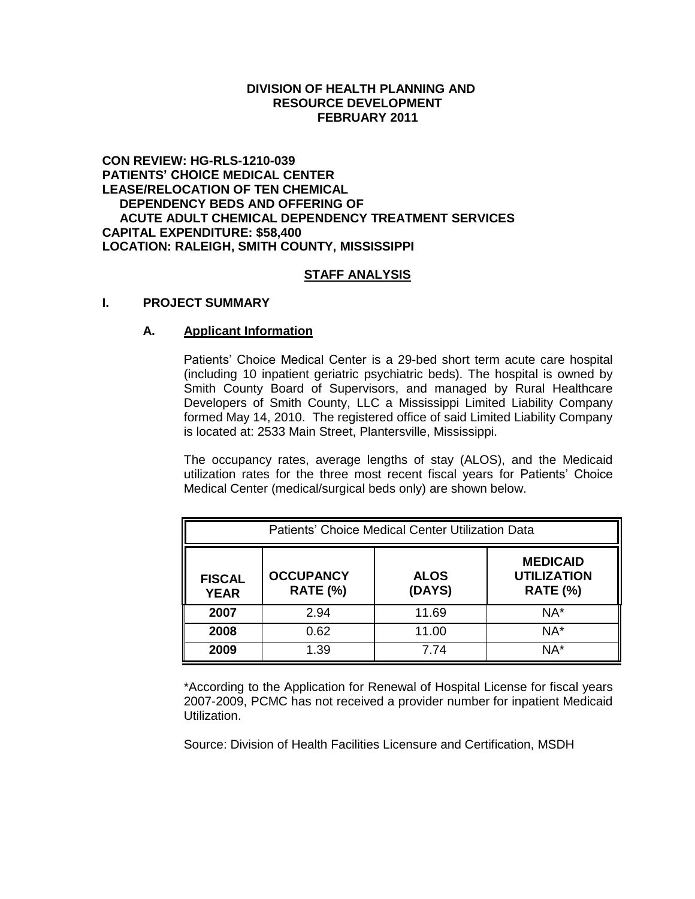## **DIVISION OF HEALTH PLANNING AND RESOURCE DEVELOPMENT FEBRUARY 2011**

### **CON REVIEW: HG-RLS-1210-039 PATIENTS' CHOICE MEDICAL CENTER LEASE/RELOCATION OF TEN CHEMICAL DEPENDENCY BEDS AND OFFERING OF ACUTE ADULT CHEMICAL DEPENDENCY TREATMENT SERVICES CAPITAL EXPENDITURE: \$58,400 LOCATION: RALEIGH, SMITH COUNTY, MISSISSIPPI**

# **STAFF ANALYSIS**

### **I. PROJECT SUMMARY**

### **A. Applicant Information**

Patients' Choice Medical Center is a 29-bed short term acute care hospital (including 10 inpatient geriatric psychiatric beds). The hospital is owned by Smith County Board of Supervisors, and managed by Rural Healthcare Developers of Smith County, LLC a Mississippi Limited Liability Company formed May 14, 2010. The registered office of said Limited Liability Company is located at: 2533 Main Street, Plantersville, Mississippi.

The occupancy rates, average lengths of stay (ALOS), and the Medicaid utilization rates for the three most recent fiscal years for Patients' Choice Medical Center (medical/surgical beds only) are shown below.

| Patients' Choice Medical Center Utilization Data |                                     |                       |                                                          |  |
|--------------------------------------------------|-------------------------------------|-----------------------|----------------------------------------------------------|--|
| <b>FISCAL</b><br><b>YEAR</b>                     | <b>OCCUPANCY</b><br><b>RATE (%)</b> | <b>ALOS</b><br>(DAYS) | <b>MEDICAID</b><br><b>UTILIZATION</b><br><b>RATE (%)</b> |  |
| 2007                                             | 2.94                                | 11.69                 | NA*                                                      |  |
| 2008                                             | 0.62                                | 11.00                 | $NA^*$                                                   |  |
| 2009                                             | 1.39                                | 7.74                  | NA*                                                      |  |

\*According to the Application for Renewal of Hospital License for fiscal years 2007-2009, PCMC has not received a provider number for inpatient Medicaid Utilization.

Source: Division of Health Facilities Licensure and Certification, MSDH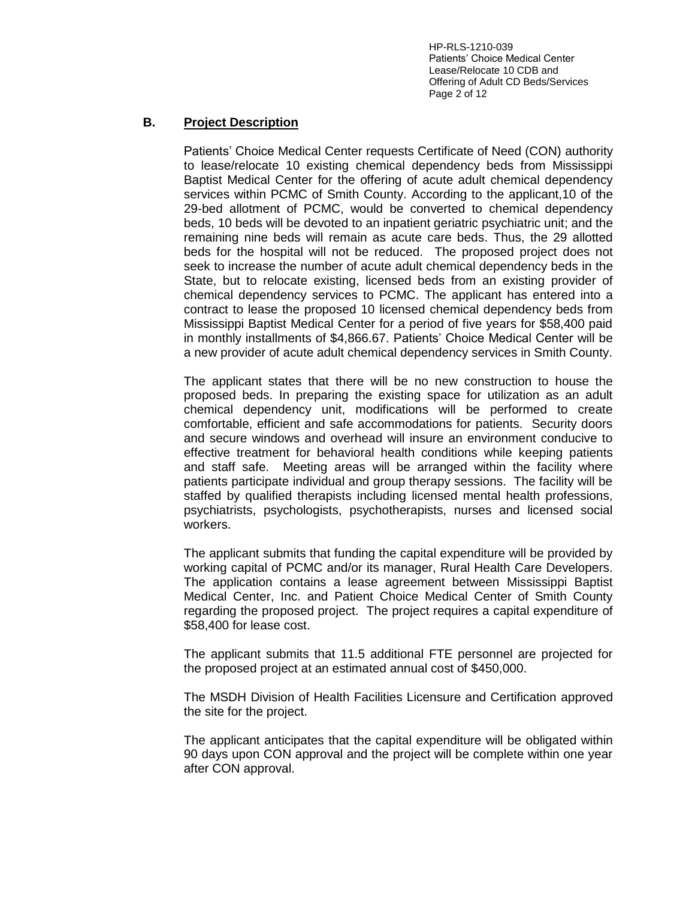HP-RLS-1210-039 Patients' Choice Medical Center Lease/Relocate 10 CDB and Offering of Adult CD Beds/Services Page 2 of 12

# **B. Project Description**

Patients' Choice Medical Center requests Certificate of Need (CON) authority to lease/relocate 10 existing chemical dependency beds from Mississippi Baptist Medical Center for the offering of acute adult chemical dependency services within PCMC of Smith County. According to the applicant,10 of the 29-bed allotment of PCMC, would be converted to chemical dependency beds, 10 beds will be devoted to an inpatient geriatric psychiatric unit; and the remaining nine beds will remain as acute care beds. Thus, the 29 allotted beds for the hospital will not be reduced. The proposed project does not seek to increase the number of acute adult chemical dependency beds in the State, but to relocate existing, licensed beds from an existing provider of chemical dependency services to PCMC. The applicant has entered into a contract to lease the proposed 10 licensed chemical dependency beds from Mississippi Baptist Medical Center for a period of five years for \$58,400 paid in monthly installments of \$4,866.67. Patients' Choice Medical Center will be a new provider of acute adult chemical dependency services in Smith County.

The applicant states that there will be no new construction to house the proposed beds. In preparing the existing space for utilization as an adult chemical dependency unit, modifications will be performed to create comfortable, efficient and safe accommodations for patients. Security doors and secure windows and overhead will insure an environment conducive to effective treatment for behavioral health conditions while keeping patients and staff safe. Meeting areas will be arranged within the facility where patients participate individual and group therapy sessions. The facility will be staffed by qualified therapists including licensed mental health professions, psychiatrists, psychologists, psychotherapists, nurses and licensed social workers.

The applicant submits that funding the capital expenditure will be provided by working capital of PCMC and/or its manager, Rural Health Care Developers. The application contains a lease agreement between Mississippi Baptist Medical Center, Inc. and Patient Choice Medical Center of Smith County regarding the proposed project. The project requires a capital expenditure of \$58,400 for lease cost.

The applicant submits that 11.5 additional FTE personnel are projected for the proposed project at an estimated annual cost of \$450,000.

The MSDH Division of Health Facilities Licensure and Certification approved the site for the project.

The applicant anticipates that the capital expenditure will be obligated within 90 days upon CON approval and the project will be complete within one year after CON approval.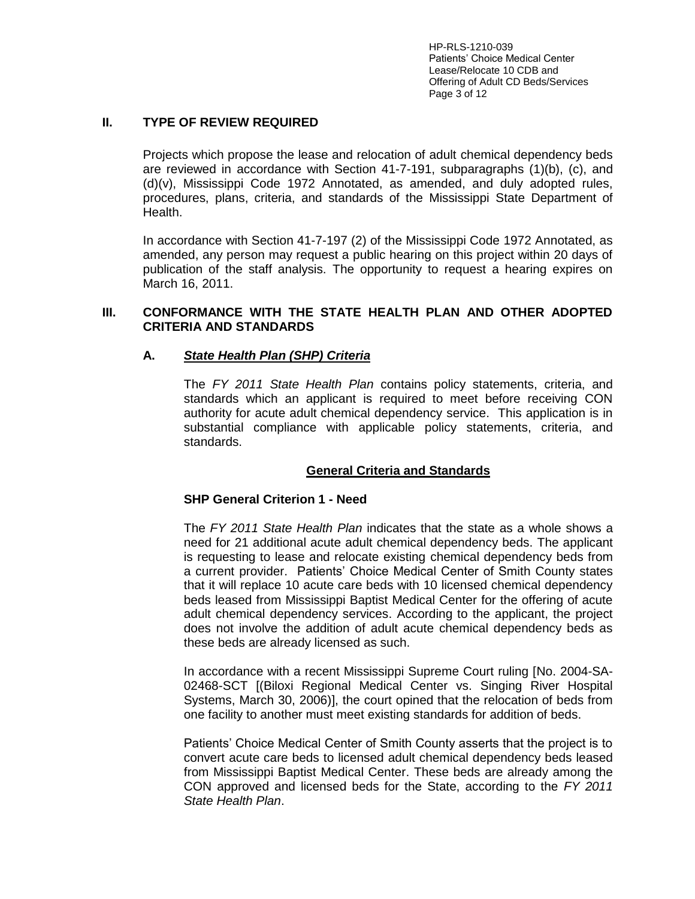HP-RLS-1210-039 Patients' Choice Medical Center Lease/Relocate 10 CDB and Offering of Adult CD Beds/Services Page 3 of 12

## **II. TYPE OF REVIEW REQUIRED**

Projects which propose the lease and relocation of adult chemical dependency beds are reviewed in accordance with Section 41-7-191, subparagraphs (1)(b), (c), and (d)(v), Mississippi Code 1972 Annotated, as amended, and duly adopted rules, procedures, plans, criteria, and standards of the Mississippi State Department of Health.

In accordance with Section 41-7-197 (2) of the Mississippi Code 1972 Annotated, as amended, any person may request a public hearing on this project within 20 days of publication of the staff analysis. The opportunity to request a hearing expires on March 16, 2011.

## **III. CONFORMANCE WITH THE STATE HEALTH PLAN AND OTHER ADOPTED CRITERIA AND STANDARDS**

## **A.** *State Health Plan (SHP) Criteria*

The *FY 2011 State Health Plan* contains policy statements, criteria, and standards which an applicant is required to meet before receiving CON authority for acute adult chemical dependency service. This application is in substantial compliance with applicable policy statements, criteria, and standards.

### **General Criteria and Standards**

### **SHP General Criterion 1 - Need**

The *FY 2011 State Health Plan* indicates that the state as a whole shows a need for 21 additional acute adult chemical dependency beds. The applicant is requesting to lease and relocate existing chemical dependency beds from a current provider. Patients' Choice Medical Center of Smith County states that it will replace 10 acute care beds with 10 licensed chemical dependency beds leased from Mississippi Baptist Medical Center for the offering of acute adult chemical dependency services. According to the applicant, the project does not involve the addition of adult acute chemical dependency beds as these beds are already licensed as such.

In accordance with a recent Mississippi Supreme Court ruling [No. 2004-SA-02468-SCT [(Biloxi Regional Medical Center vs. Singing River Hospital Systems, March 30, 2006)], the court opined that the relocation of beds from one facility to another must meet existing standards for addition of beds.

Patients' Choice Medical Center of Smith County asserts that the project is to convert acute care beds to licensed adult chemical dependency beds leased from Mississippi Baptist Medical Center. These beds are already among the CON approved and licensed beds for the State, according to the *FY 2011 State Health Plan*.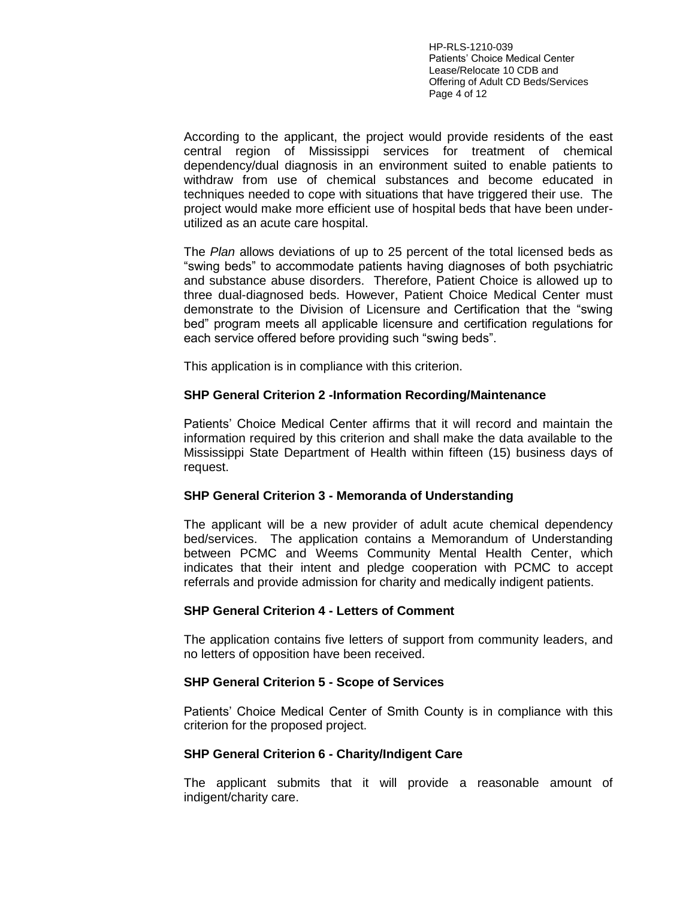HP-RLS-1210-039 Patients' Choice Medical Center Lease/Relocate 10 CDB and Offering of Adult CD Beds/Services Page 4 of 12

According to the applicant, the project would provide residents of the east central region of Mississippi services for treatment of chemical dependency/dual diagnosis in an environment suited to enable patients to withdraw from use of chemical substances and become educated in techniques needed to cope with situations that have triggered their use. The project would make more efficient use of hospital beds that have been underutilized as an acute care hospital.

The *Plan* allows deviations of up to 25 percent of the total licensed beds as "swing beds" to accommodate patients having diagnoses of both psychiatric and substance abuse disorders. Therefore, Patient Choice is allowed up to three dual-diagnosed beds. However, Patient Choice Medical Center must demonstrate to the Division of Licensure and Certification that the "swing bed" program meets all applicable licensure and certification regulations for each service offered before providing such "swing beds".

This application is in compliance with this criterion.

### **SHP General Criterion 2 -Information Recording/Maintenance**

Patients' Choice Medical Center affirms that it will record and maintain the information required by this criterion and shall make the data available to the Mississippi State Department of Health within fifteen (15) business days of request.

#### **SHP General Criterion 3 - Memoranda of Understanding**

The applicant will be a new provider of adult acute chemical dependency bed/services. The application contains a Memorandum of Understanding between PCMC and Weems Community Mental Health Center, which indicates that their intent and pledge cooperation with PCMC to accept referrals and provide admission for charity and medically indigent patients.

#### **SHP General Criterion 4 - Letters of Comment**

The application contains five letters of support from community leaders, and no letters of opposition have been received.

### **SHP General Criterion 5 - Scope of Services**

Patients' Choice Medical Center of Smith County is in compliance with this criterion for the proposed project.

#### **SHP General Criterion 6 - Charity/Indigent Care**

The applicant submits that it will provide a reasonable amount of indigent/charity care.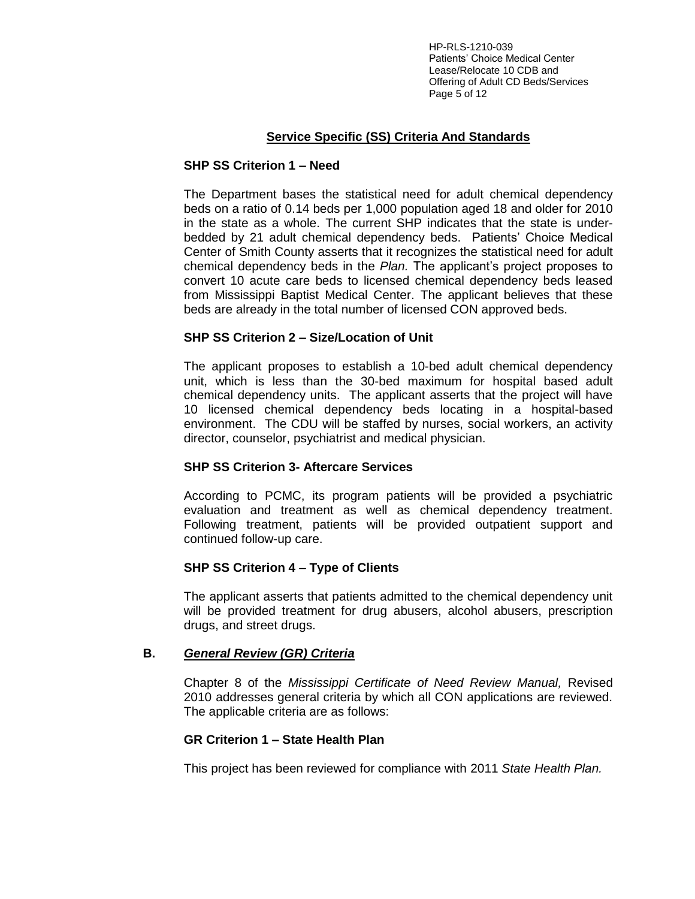HP-RLS-1210-039 Patients' Choice Medical Center Lease/Relocate 10 CDB and Offering of Adult CD Beds/Services Page 5 of 12

# **Service Specific (SS) Criteria And Standards**

### **SHP SS Criterion 1 – Need**

The Department bases the statistical need for adult chemical dependency beds on a ratio of 0.14 beds per 1,000 population aged 18 and older for 2010 in the state as a whole. The current SHP indicates that the state is underbedded by 21 adult chemical dependency beds. Patients' Choice Medical Center of Smith County asserts that it recognizes the statistical need for adult chemical dependency beds in the *Plan.* The applicant's project proposes to convert 10 acute care beds to licensed chemical dependency beds leased from Mississippi Baptist Medical Center. The applicant believes that these beds are already in the total number of licensed CON approved beds.

### **SHP SS Criterion 2 – Size/Location of Unit**

The applicant proposes to establish a 10-bed adult chemical dependency unit, which is less than the 30-bed maximum for hospital based adult chemical dependency units. The applicant asserts that the project will have 10 licensed chemical dependency beds locating in a hospital-based environment. The CDU will be staffed by nurses, social workers, an activity director, counselor, psychiatrist and medical physician.

### **SHP SS Criterion 3- Aftercare Services**

According to PCMC, its program patients will be provided a psychiatric evaluation and treatment as well as chemical dependency treatment. Following treatment, patients will be provided outpatient support and continued follow-up care.

### **SHP SS Criterion 4** – **Type of Clients**

The applicant asserts that patients admitted to the chemical dependency unit will be provided treatment for drug abusers, alcohol abusers, prescription drugs, and street drugs.

### **B.** *General Review (GR) Criteria*

Chapter 8 of the *Mississippi Certificate of Need Review Manual,* Revised 2010 addresses general criteria by which all CON applications are reviewed. The applicable criteria are as follows:

### **GR Criterion 1 – State Health Plan**

This project has been reviewed for compliance with 2011 *State Health Plan.*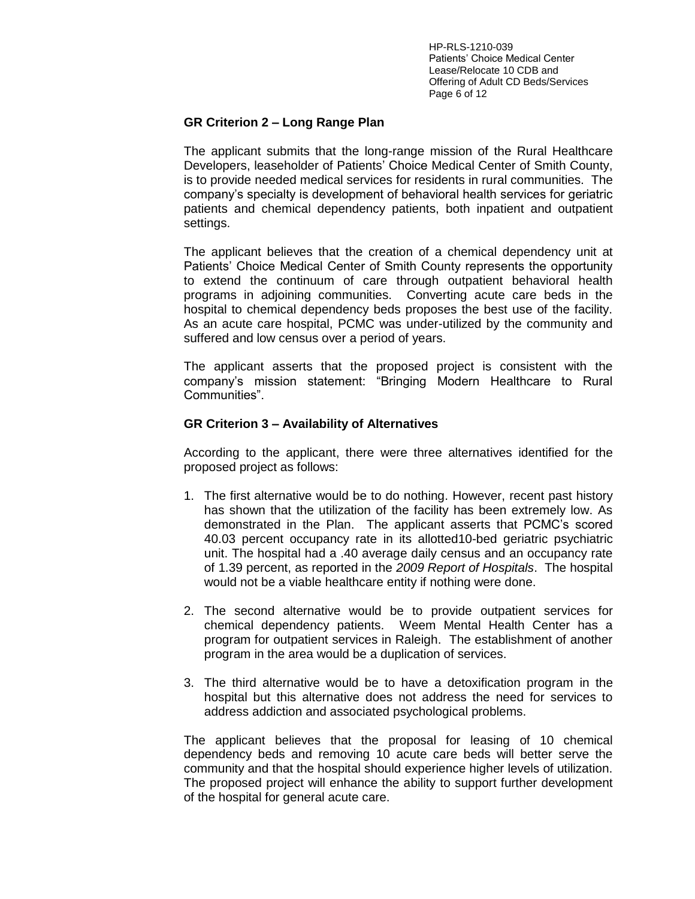HP-RLS-1210-039 Patients' Choice Medical Center Lease/Relocate 10 CDB and Offering of Adult CD Beds/Services Page 6 of 12

# **GR Criterion 2 – Long Range Plan**

The applicant submits that the long-range mission of the Rural Healthcare Developers, leaseholder of Patients' Choice Medical Center of Smith County, is to provide needed medical services for residents in rural communities. The company's specialty is development of behavioral health services for geriatric patients and chemical dependency patients, both inpatient and outpatient settings.

The applicant believes that the creation of a chemical dependency unit at Patients' Choice Medical Center of Smith County represents the opportunity to extend the continuum of care through outpatient behavioral health programs in adjoining communities. Converting acute care beds in the hospital to chemical dependency beds proposes the best use of the facility. As an acute care hospital, PCMC was under-utilized by the community and suffered and low census over a period of years.

The applicant asserts that the proposed project is consistent with the company's mission statement: "Bringing Modern Healthcare to Rural Communities".

## **GR Criterion 3 – Availability of Alternatives**

According to the applicant, there were three alternatives identified for the proposed project as follows:

- 1. The first alternative would be to do nothing. However, recent past history has shown that the utilization of the facility has been extremely low. As demonstrated in the Plan. The applicant asserts that PCMC's scored 40.03 percent occupancy rate in its allotted10-bed geriatric psychiatric unit. The hospital had a .40 average daily census and an occupancy rate of 1.39 percent, as reported in the *2009 Report of Hospitals*. The hospital would not be a viable healthcare entity if nothing were done.
- 2. The second alternative would be to provide outpatient services for chemical dependency patients. Weem Mental Health Center has a program for outpatient services in Raleigh. The establishment of another program in the area would be a duplication of services.
- 3. The third alternative would be to have a detoxification program in the hospital but this alternative does not address the need for services to address addiction and associated psychological problems.

The applicant believes that the proposal for leasing of 10 chemical dependency beds and removing 10 acute care beds will better serve the community and that the hospital should experience higher levels of utilization. The proposed project will enhance the ability to support further development of the hospital for general acute care.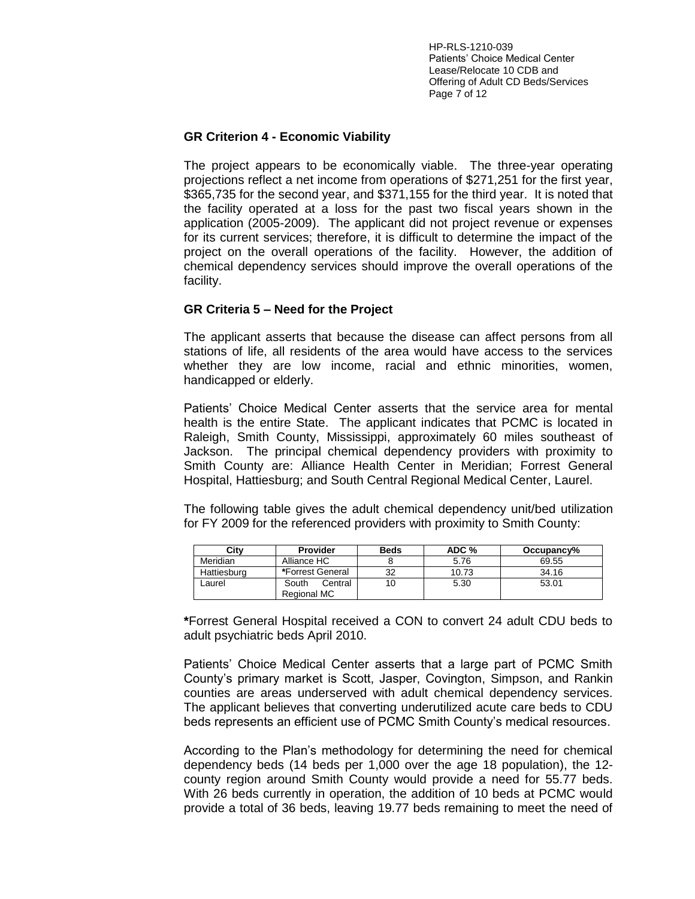HP-RLS-1210-039 Patients' Choice Medical Center Lease/Relocate 10 CDB and Offering of Adult CD Beds/Services Page 7 of 12

## **GR Criterion 4 - Economic Viability**

The project appears to be economically viable. The three-year operating projections reflect a net income from operations of \$271,251 for the first year, \$365,735 for the second year, and \$371,155 for the third year. It is noted that the facility operated at a loss for the past two fiscal years shown in the application (2005-2009). The applicant did not project revenue or expenses for its current services; therefore, it is difficult to determine the impact of the project on the overall operations of the facility. However, the addition of chemical dependency services should improve the overall operations of the facility.

## **GR Criteria 5 – Need for the Project**

The applicant asserts that because the disease can affect persons from all stations of life, all residents of the area would have access to the services whether they are low income, racial and ethnic minorities, women, handicapped or elderly.

Patients' Choice Medical Center asserts that the service area for mental health is the entire State. The applicant indicates that PCMC is located in Raleigh, Smith County, Mississippi, approximately 60 miles southeast of Jackson. The principal chemical dependency providers with proximity to Smith County are: Alliance Health Center in Meridian; Forrest General Hospital, Hattiesburg; and South Central Regional Medical Center, Laurel.

The following table gives the adult chemical dependency unit/bed utilization for FY 2009 for the referenced providers with proximity to Smith County:

| Citv        | Provider                        | Beds | ADC % | Occupancy% |
|-------------|---------------------------------|------|-------|------------|
| Meridian    | Alliance HC                     |      | 5.76  | 69.55      |
| Hattiesburg | *Forrest General                | 32   | 10.73 | 34.16      |
| Laurel      | South<br>Central<br>Regional MC | 10   | 5.30  | 53.01      |

**\***Forrest General Hospital received a CON to convert 24 adult CDU beds to adult psychiatric beds April 2010.

Patients' Choice Medical Center asserts that a large part of PCMC Smith County's primary market is Scott, Jasper, Covington, Simpson, and Rankin counties are areas underserved with adult chemical dependency services. The applicant believes that converting underutilized acute care beds to CDU beds represents an efficient use of PCMC Smith County's medical resources.

According to the Plan's methodology for determining the need for chemical dependency beds (14 beds per 1,000 over the age 18 population), the 12 county region around Smith County would provide a need for 55.77 beds. With 26 beds currently in operation, the addition of 10 beds at PCMC would provide a total of 36 beds, leaving 19.77 beds remaining to meet the need of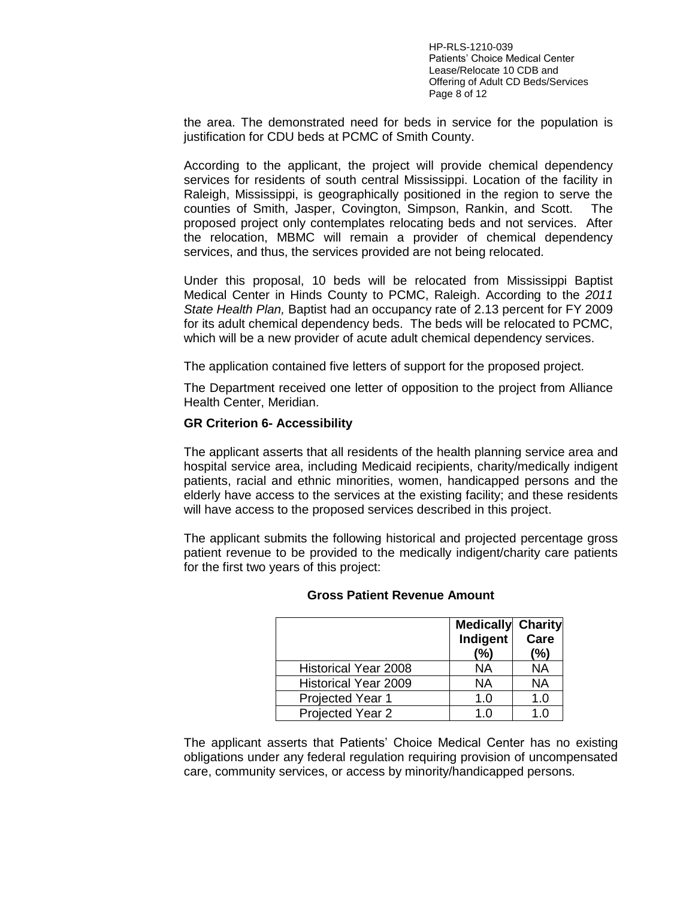HP-RLS-1210-039 Patients' Choice Medical Center Lease/Relocate 10 CDB and Offering of Adult CD Beds/Services Page 8 of 12

the area. The demonstrated need for beds in service for the population is justification for CDU beds at PCMC of Smith County.

According to the applicant, the project will provide chemical dependency services for residents of south central Mississippi. Location of the facility in Raleigh, Mississippi, is geographically positioned in the region to serve the counties of Smith, Jasper, Covington, Simpson, Rankin, and Scott. The proposed project only contemplates relocating beds and not services. After the relocation, MBMC will remain a provider of chemical dependency services, and thus, the services provided are not being relocated.

Under this proposal, 10 beds will be relocated from Mississippi Baptist Medical Center in Hinds County to PCMC, Raleigh. According to the *2011 State Health Plan,* Baptist had an occupancy rate of 2.13 percent for FY 2009 for its adult chemical dependency beds. The beds will be relocated to PCMC, which will be a new provider of acute adult chemical dependency services.

The application contained five letters of support for the proposed project.

The Department received one letter of opposition to the project from Alliance Health Center, Meridian.

#### **GR Criterion 6- Accessibility**

The applicant asserts that all residents of the health planning service area and hospital service area, including Medicaid recipients, charity/medically indigent patients, racial and ethnic minorities, women, handicapped persons and the elderly have access to the services at the existing facility; and these residents will have access to the proposed services described in this project.

The applicant submits the following historical and projected percentage gross patient revenue to be provided to the medically indigent/charity care patients for the first two years of this project:

|                             | <b>Medically Charity</b><br><b>Indigent</b><br>(%) | Care<br>(%) |
|-----------------------------|----------------------------------------------------|-------------|
| <b>Historical Year 2008</b> | ΝA                                                 | <b>NA</b>   |
| <b>Historical Year 2009</b> | NA                                                 | <b>NA</b>   |
| Projected Year 1            | 1.0                                                | 1.0         |
| Projected Year 2            | 1 በ                                                | 1 በ         |

#### **Gross Patient Revenue Amount**

The applicant asserts that Patients' Choice Medical Center has no existing obligations under any federal regulation requiring provision of uncompensated care, community services, or access by minority/handicapped persons.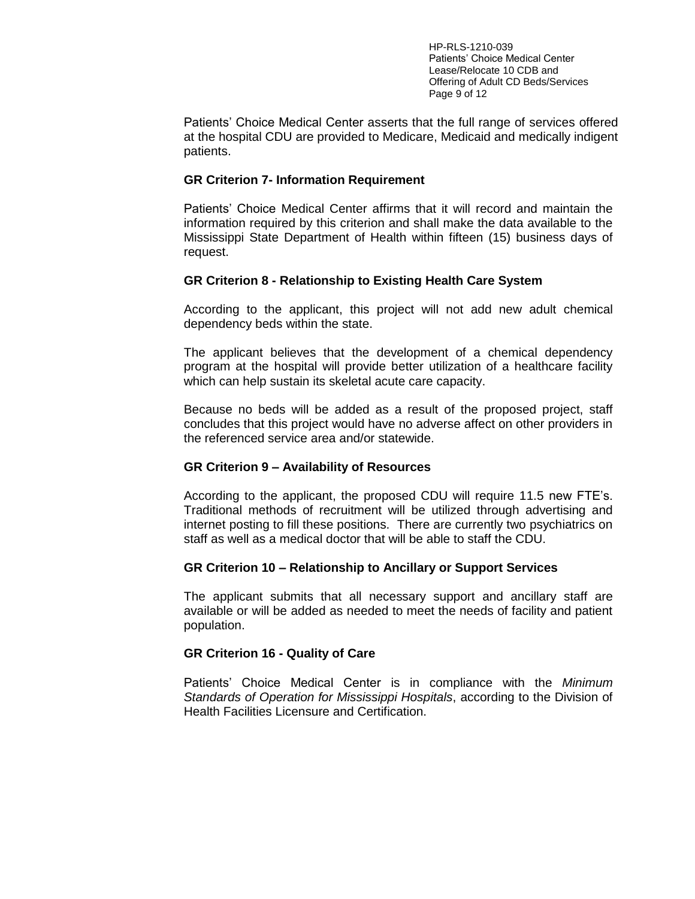HP-RLS-1210-039 Patients' Choice Medical Center Lease/Relocate 10 CDB and Offering of Adult CD Beds/Services Page 9 of 12

Patients' Choice Medical Center asserts that the full range of services offered at the hospital CDU are provided to Medicare, Medicaid and medically indigent patients.

### **GR Criterion 7- Information Requirement**

Patients' Choice Medical Center affirms that it will record and maintain the information required by this criterion and shall make the data available to the Mississippi State Department of Health within fifteen (15) business days of request.

### **GR Criterion 8 - Relationship to Existing Health Care System**

According to the applicant, this project will not add new adult chemical dependency beds within the state.

The applicant believes that the development of a chemical dependency program at the hospital will provide better utilization of a healthcare facility which can help sustain its skeletal acute care capacity.

Because no beds will be added as a result of the proposed project, staff concludes that this project would have no adverse affect on other providers in the referenced service area and/or statewide.

### **GR Criterion 9 – Availability of Resources**

According to the applicant, the proposed CDU will require 11.5 new FTE's. Traditional methods of recruitment will be utilized through advertising and internet posting to fill these positions. There are currently two psychiatrics on staff as well as a medical doctor that will be able to staff the CDU.

#### **GR Criterion 10 – Relationship to Ancillary or Support Services**

The applicant submits that all necessary support and ancillary staff are available or will be added as needed to meet the needs of facility and patient population.

### **GR Criterion 16 - Quality of Care**

Patients' Choice Medical Center is in compliance with the *Minimum Standards of Operation for Mississippi Hospitals*, according to the Division of Health Facilities Licensure and Certification.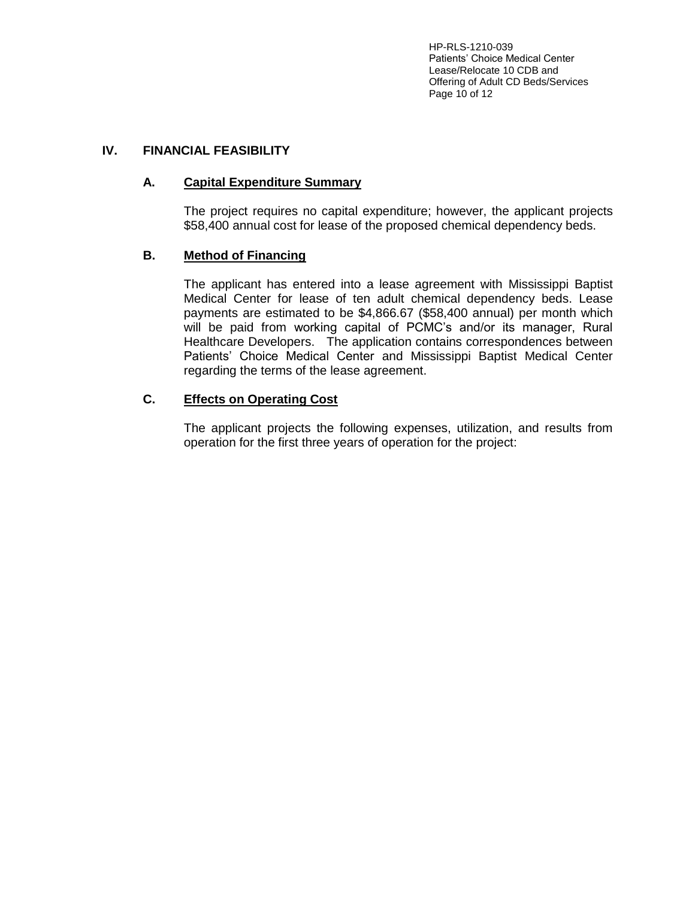HP-RLS-1210-039 Patients' Choice Medical Center Lease/Relocate 10 CDB and Offering of Adult CD Beds/Services Page 10 of 12

# **IV. FINANCIAL FEASIBILITY**

# **A. Capital Expenditure Summary**

The project requires no capital expenditure; however, the applicant projects \$58,400 annual cost for lease of the proposed chemical dependency beds.

## **B. Method of Financing**

The applicant has entered into a lease agreement with Mississippi Baptist Medical Center for lease of ten adult chemical dependency beds. Lease payments are estimated to be \$4,866.67 (\$58,400 annual) per month which will be paid from working capital of PCMC's and/or its manager, Rural Healthcare Developers. The application contains correspondences between Patients' Choice Medical Center and Mississippi Baptist Medical Center regarding the terms of the lease agreement.

# **C. Effects on Operating Cost**

The applicant projects the following expenses, utilization, and results from operation for the first three years of operation for the project: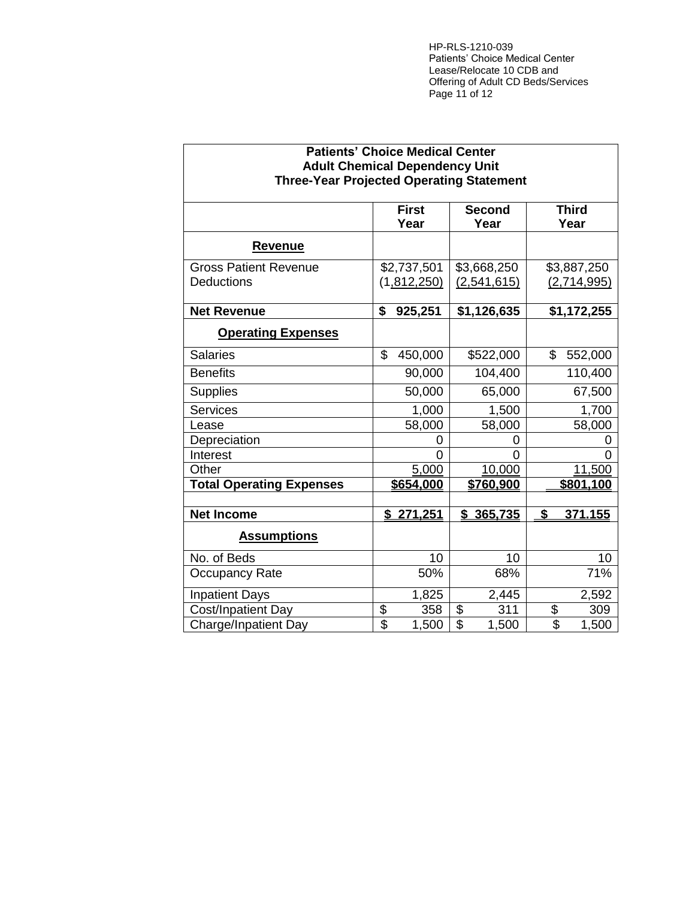HP-RLS-1210-039 Patients' Choice Medical Center Lease/Relocate 10 CDB and Offering of Adult CD Beds/Services Page 11 of 12

| <b>Patients' Choice Medical Center</b><br><b>Adult Chemical Dependency Unit</b> |                         |                    |                          |                        |                        |
|---------------------------------------------------------------------------------|-------------------------|--------------------|--------------------------|------------------------|------------------------|
| <b>Three-Year Projected Operating Statement</b>                                 |                         |                    |                          |                        |                        |
|                                                                                 |                         | <b>First</b>       |                          | <b>Second</b>          | <b>Third</b>           |
|                                                                                 |                         | Year               |                          | Year                   | Year                   |
| <b>Revenue</b>                                                                  |                         |                    |                          |                        |                        |
| <b>Gross Patient Revenue</b>                                                    |                         | \$2,737,501        |                          | \$3,668,250            | \$3,887,250            |
| <b>Deductions</b>                                                               |                         | <u>(1,812,250)</u> |                          | (2,541,615)            | (2,714,995)            |
| <b>Net Revenue</b>                                                              | $\overline{\mathbf{s}}$ | 925,251            |                          | $\overline{1,126,635}$ | $\overline{1,172,255}$ |
| <b>Operating Expenses</b>                                                       |                         |                    |                          |                        |                        |
| <b>Salaries</b>                                                                 | \$                      | 450,000            |                          | \$522,000              | \$<br>552,000          |
| <b>Benefits</b>                                                                 |                         | 90,000             |                          | 104,400                | 110,400                |
| <b>Supplies</b>                                                                 |                         | 50,000             |                          | 65,000                 | 67,500                 |
| <b>Services</b>                                                                 |                         | 1,000              |                          | 1,500                  | 1,700                  |
| Lease                                                                           |                         | 58,000             |                          | 58,000                 | 58,000                 |
| Depreciation                                                                    |                         | Ω                  |                          | 0                      | 0                      |
| Interest                                                                        |                         | $\overline{0}$     |                          | 0                      | $\Omega$               |
| Other                                                                           |                         | 5,000              |                          | 10,000                 | 11,500                 |
| <b>Total Operating Expenses</b>                                                 |                         | \$654,000          |                          | \$760,900              | \$801,100              |
|                                                                                 |                         |                    |                          |                        |                        |
| <b>Net Income</b>                                                               | \$                      | 271,251            | \$                       | 365,735                | \$<br>371.155          |
| <b>Assumptions</b>                                                              |                         |                    |                          |                        |                        |
| No. of Beds                                                                     |                         | 10                 |                          | 10                     | 10                     |
| <b>Occupancy Rate</b>                                                           |                         | 50%                |                          | 68%                    | 71%                    |
| <b>Inpatient Days</b>                                                           |                         | 1,825              |                          | 2,445                  | 2,592                  |
| Cost/Inpatient Day                                                              | \$                      | 358                | \$                       | 311                    | \$<br>309              |
| <b>Charge/Inpatient Day</b>                                                     | $\overline{\$}$         | 1,500              | $\overline{\mathcal{S}}$ | $\overline{1,500}$     | \$<br>1,500            |